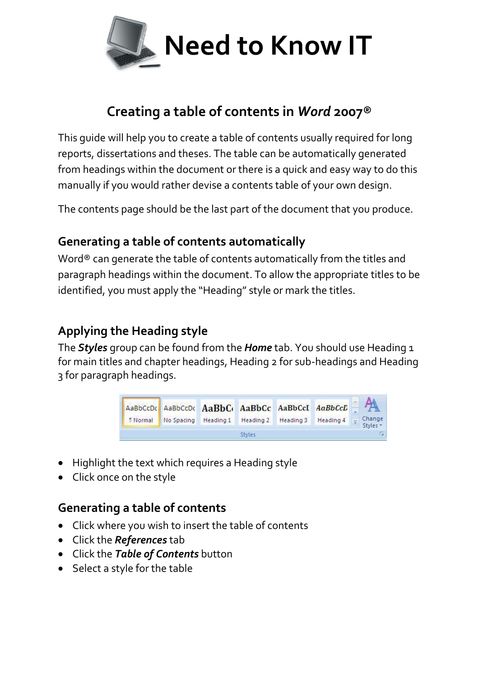

# **Creating a table of contents in** *Word* **2007®**

This guide will help you to create a table of contents usually required for long reports, dissertations and theses. The table can be automatically generated from headings within the document or there is a quick and easy way to do this manually if you would rather devise a contents table of your own design.

The contents page should be the last part of the document that you produce.

### **Generating a table of contents automatically**

Word® can generate the table of contents automatically from the titles and paragraph headings within the document. To allow the appropriate titles to be identified, you must apply the "Heading" style or mark the titles.

## **Applying the Heading style**

The *Styles* group can be found from the *Home* tab. You should use Heading 1 for main titles and chapter headings, Heading 2 for sub-headings and Heading 3 for paragraph headings.



- Highlight the text which requires a Heading style
- Click once on the style

### **Generating a table of contents**

- Click where you wish to insert the table of contents
- Click the *References* tab
- Click the *Table of Contents* button
- Select a style for the table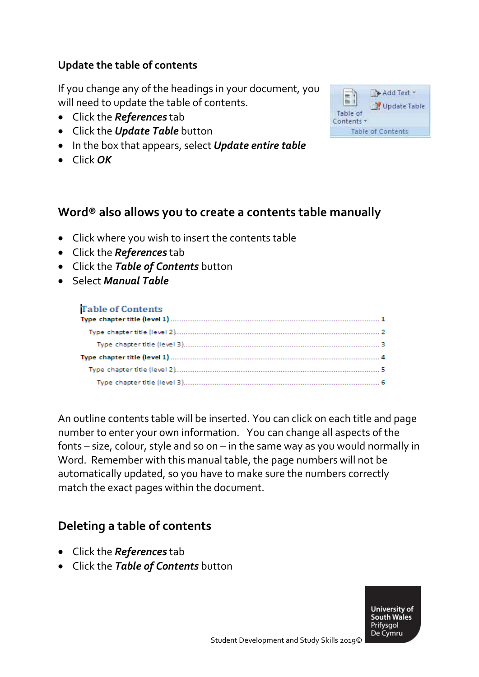#### **Update the table of contents**

If you change any of the headings in your document, you will need to update the table of contents.

- Click the *References* tab
- Click the *Update Table* button
- In the box that appears, select *Update entire table*
- Click *OK*



### **Word® also allows you to create a contents table manually**

- Click where you wish to insert the contents table
- Click the *References* tab
- Click the *Table of Contents* button
- Select *Manual Table*

#### **Table of Contents**

An outline contents table will be inserted. You can click on each title and page number to enter your own information. You can change all aspects of the fonts – size, colour, style and so on – in the same way as you would normally in Word. Remember with this manual table, the page numbers will not be automatically updated, so you have to make sure the numbers correctly match the exact pages within the document.

### **Deleting a table of contents**

- Click the *References* tab
- Click the *Table of Contents* button

**University of South Wales** Prifysgol De Cymru